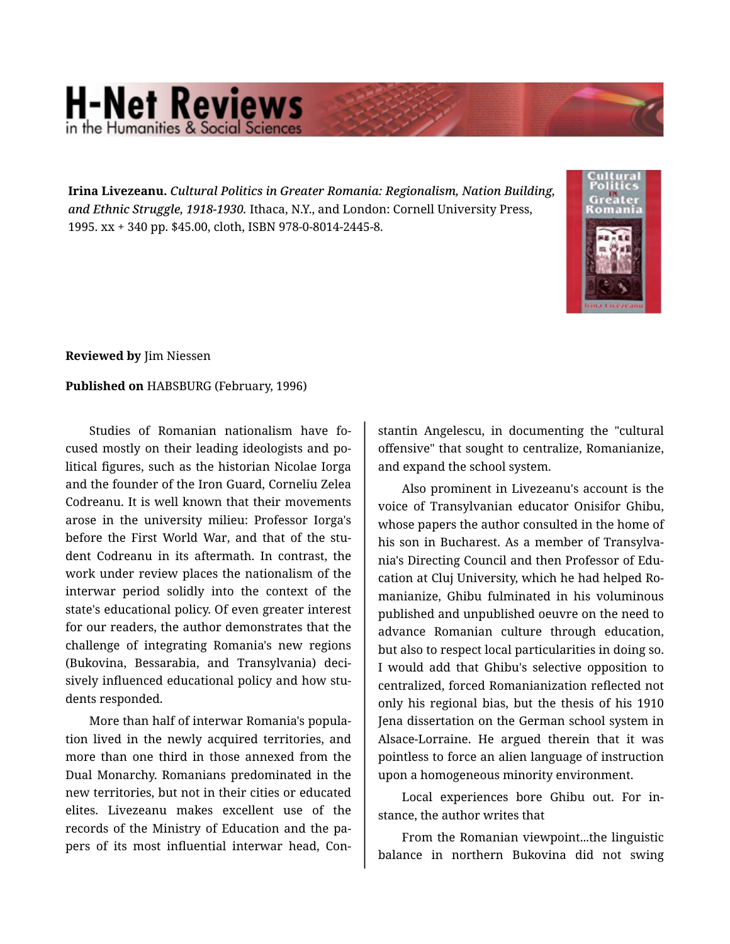## **H-Net Reviews** in the Humanities & Social S

**Irina Livezeanu.** *Cultural Politics in Greater Romania: Regionalism, Nation Building, and Ethnic Struggle, 1918-1930.* Ithaca, N.Y., and London: Cornell University Press, 1995. xx + 340 pp. \$45.00, cloth, ISBN 978-0-8014-2445-8.



**Reviewed by** Jim Niessen

## **Published on** HABSBURG (February, 1996)

Studies of Romanian nationalism have fo‐ cused mostly on their leading ideologists and po‐ litical figures, such as the historian Nicolae Iorga and the founder of the Iron Guard, Corneliu Zelea Codreanu. It is well known that their movements arose in the university milieu: Professor Iorga's before the First World War, and that of the student Codreanu in its aftermath. In contrast, the work under review places the nationalism of the interwar period solidly into the context of the state's educational policy. Of even greater interest for our readers, the author demonstrates that the challenge of integrating Romania's new regions (Bukovina, Bessarabia, and Transylvania) deci‐ sively influenced educational policy and how stu‐ dents responded.

More than half of interwar Romania's popula‐ tion lived in the newly acquired territories, and more than one third in those annexed from the Dual Monarchy. Romanians predominated in the new territories, but not in their cities or educated elites. Livezeanu makes excellent use of the records of the Ministry of Education and the pa‐ pers of its most influential interwar head, Con‐

stantin Angelescu, in documenting the "cultural offensive" that sought to centralize, Romanianize, and expand the school system.

Also prominent in Livezeanu's account is the voice of Transylvanian educator Onisifor Ghibu, whose papers the author consulted in the home of his son in Bucharest. As a member of Transylva‐ nia's Directing Council and then Professor of Edu‐ cation at Cluj University, which he had helped Ro‐ manianize, Ghibu fulminated in his voluminous published and unpublished oeuvre on the need to advance Romanian culture through education, but also to respect local particularities in doing so. I would add that Ghibu's selective opposition to centralized, forced Romanianization reflected not only his regional bias, but the thesis of his 1910 Jena dissertation on the German school system in Alsace-Lorraine. He argued therein that it was pointless to force an alien language of instruction upon a homogeneous minority environment.

Local experiences bore Ghibu out. For in‐ stance, the author writes that

From the Romanian viewpoint...the linguistic balance in northern Bukovina did not swing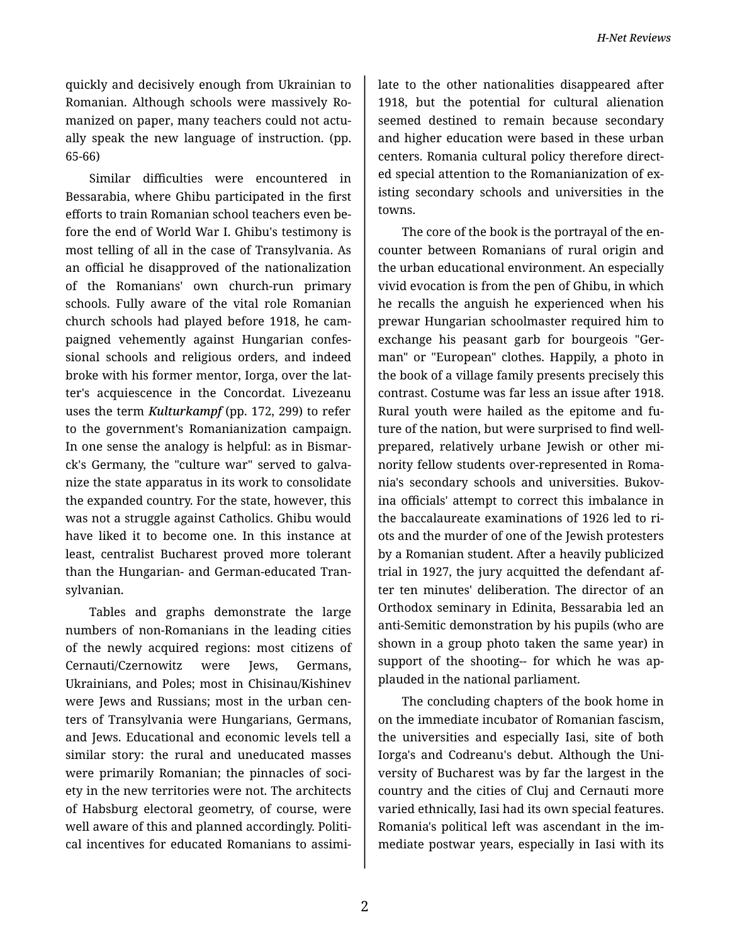quickly and decisively enough from Ukrainian to Romanian. Although schools were massively Ro‐ manized on paper, many teachers could not actu‐ ally speak the new language of instruction. (pp. 65-66)

Similar difficulties were encountered in Bessarabia, where Ghibu participated in the first efforts to train Romanian school teachers even be‐ fore the end of World War I. Ghibu's testimony is most telling of all in the case of Transylvania. As an official he disapproved of the nationalization of the Romanians' own church-run primary schools. Fully aware of the vital role Romanian church schools had played before 1918, he cam‐ paigned vehemently against Hungarian confes‐ sional schools and religious orders, and indeed broke with his former mentor, Iorga, over the lat‐ ter's acquiescence in the Concordat. Livezeanu uses the term *Kulturkampf* (pp. 172, 299) to refer to the government's Romanianization campaign. In one sense the analogy is helpful: as in Bismar‐ ck's Germany, the "culture war" served to galva‐ nize the state apparatus in its work to consolidate the expanded country. For the state, however, this was not a struggle against Catholics. Ghibu would have liked it to become one. In this instance at least, centralist Bucharest proved more tolerant than the Hungarian- and German-educated Tran‐ sylvanian.

Tables and graphs demonstrate the large numbers of non-Romanians in the leading cities of the newly acquired regions: most citizens of Cernauti/Czernowitz were Jews, Germans, Ukrainians, and Poles; most in Chisinau/Kishinev were Jews and Russians; most in the urban cen‐ ters of Transylvania were Hungarians, Germans, and Jews. Educational and economic levels tell a similar story: the rural and uneducated masses were primarily Romanian; the pinnacles of soci‐ ety in the new territories were not. The architects of Habsburg electoral geometry, of course, were well aware of this and planned accordingly. Politi‐ cal incentives for educated Romanians to assimi‐

late to the other nationalities disappeared after 1918, but the potential for cultural alienation seemed destined to remain because secondary and higher education were based in these urban centers. Romania cultural policy therefore direct‐ ed special attention to the Romanianization of ex‐ isting secondary schools and universities in the towns.

The core of the book is the portrayal of the en‐ counter between Romanians of rural origin and the urban educational environment. An especially vivid evocation is from the pen of Ghibu, in which he recalls the anguish he experienced when his prewar Hungarian schoolmaster required him to exchange his peasant garb for bourgeois "Ger‐ man" or "European" clothes. Happily, a photo in the book of a village family presents precisely this contrast. Costume was far less an issue after 1918. Rural youth were hailed as the epitome and fu‐ ture of the nation, but were surprised to find wellprepared, relatively urbane Jewish or other mi‐ nority fellow students over-represented in Roma‐ nia's secondary schools and universities. Bukov‐ ina officials' attempt to correct this imbalance in the baccalaureate examinations of 1926 led to ri‐ ots and the murder of one of the Jewish protesters by a Romanian student. After a heavily publicized trial in 1927, the jury acquitted the defendant af‐ ter ten minutes' deliberation. The director of an Orthodox seminary in Edinita, Bessarabia led an anti-Semitic demonstration by his pupils (who are shown in a group photo taken the same year) in support of the shooting-- for which he was applauded in the national parliament.

The concluding chapters of the book home in on the immediate incubator of Romanian fascism, the universities and especially Iasi, site of both Iorga's and Codreanu's debut. Although the Uni‐ versity of Bucharest was by far the largest in the country and the cities of Cluj and Cernauti more varied ethnically, Iasi had its own special features. Romania's political left was ascendant in the im‐ mediate postwar years, especially in Iasi with its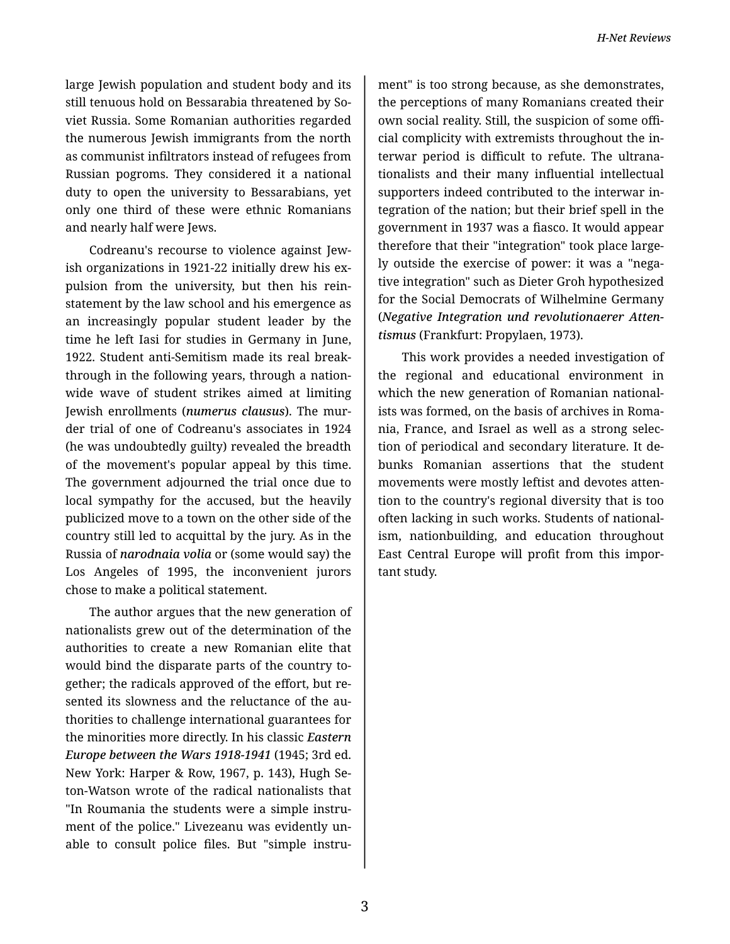large Jewish population and student body and its still tenuous hold on Bessarabia threatened by So‐ viet Russia. Some Romanian authorities regarded the numerous Jewish immigrants from the north as communist infiltrators instead of refugees from Russian pogroms. They considered it a national duty to open the university to Bessarabians, yet only one third of these were ethnic Romanians and nearly half were Jews.

Codreanu's recourse to violence against Jew‐ ish organizations in 1921-22 initially drew his expulsion from the university, but then his rein‐ statement by the law school and his emergence as an increasingly popular student leader by the time he left Iasi for studies in Germany in June, 1922. Student anti-Semitism made its real break‐ through in the following years, through a nation‐ wide wave of student strikes aimed at limiting Jewish enrollments (*numerus clausus*). The mur‐ der trial of one of Codreanu's associates in 1924 (he was undoubtedly guilty) revealed the breadth of the movement's popular appeal by this time. The government adjourned the trial once due to local sympathy for the accused, but the heavily publicized move to a town on the other side of the country still led to acquittal by the jury. As in the Russia of *narodnaia volia* or (some would say) the Los Angeles of 1995, the inconvenient jurors chose to make a political statement.

The author argues that the new generation of nationalists grew out of the determination of the authorities to create a new Romanian elite that would bind the disparate parts of the country to‐ gether; the radicals approved of the effort, but re‐ sented its slowness and the reluctance of the authorities to challenge international guarantees for the minorities more directly. In his classic *Eastern Europe between the Wars 1918-1941* (1945; 3rd ed. New York: Harper & Row, 1967, p. 143), Hugh Se‐ ton-Watson wrote of the radical nationalists that "In Roumania the students were a simple instru‐ ment of the police." Livezeanu was evidently un‐ able to consult police files. But "simple instru-

ment" is too strong because, as she demonstrates, the perceptions of many Romanians created their own social reality. Still, the suspicion of some offi‐ cial complicity with extremists throughout the in‐ terwar period is difficult to refute. The ultrana‐ tionalists and their many influential intellectual supporters indeed contributed to the interwar in‐ tegration of the nation; but their brief spell in the government in 1937 was a fiasco. It would appear therefore that their "integration" took place large‐ ly outside the exercise of power: it was a "nega‐ tive integration" such as Dieter Groh hypothesized for the Social Democrats of Wilhelmine Germany (*Negative Integration und revolutionaerer Atten‐ tismus* (Frankfurt: Propylaen, 1973).

This work provides a needed investigation of the regional and educational environment in which the new generation of Romanian nationalists was formed, on the basis of archives in Roma‐ nia, France, and Israel as well as a strong selec‐ tion of periodical and secondary literature. It de‐ bunks Romanian assertions that the student movements were mostly leftist and devotes atten‐ tion to the country's regional diversity that is too often lacking in such works. Students of national‐ ism, nationbuilding, and education throughout East Central Europe will profit from this impor‐ tant study.